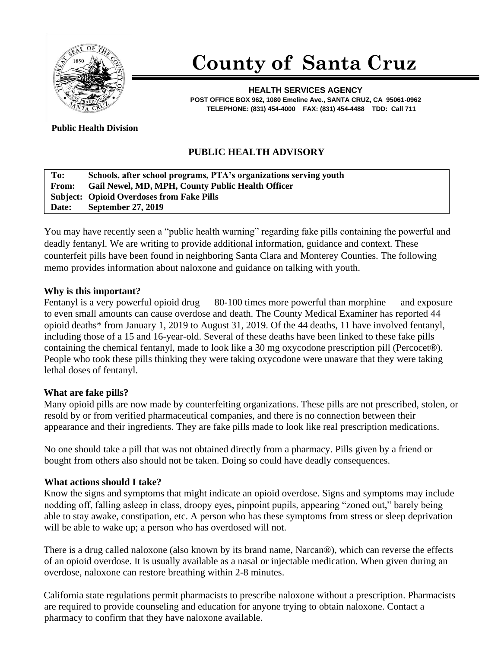

# **County of Santa Cruz**

**HEALTH SERVICES AGENCY POST OFFICE BOX 962, 1080 Emeline Ave., SANTA CRUZ, CA 95061-0962 TELEPHONE: (831) 454-4000 FAX: (831) 454-4488 TDD: Call 711**

**Public Health Division** 

## **PUBLIC HEALTH ADVISORY**

#### **To: Schools, after school programs, PTA's organizations serving youth From: Gail Newel, MD, MPH, County Public Health Officer Subject: Opioid Overdoses from Fake Pills Date: September 27, 2019**

You may have recently seen a "public health warning" regarding fake pills containing the powerful and deadly fentanyl. We are writing to provide additional information, guidance and context. These counterfeit pills have been found in neighboring Santa Clara and Monterey Counties. The following memo provides information about naloxone and guidance on talking with youth.

#### **Why is this important?**

Fentanyl is a very powerful opioid drug — 80-100 times more powerful than morphine — and exposure to even small amounts can cause overdose and death. The County Medical Examiner has reported 44 opioid deaths\* from January 1, 2019 to August 31, 2019. Of the 44 deaths, 11 have involved fentanyl, including those of a 15 and 16-year-old. Several of these deaths have been linked to these fake pills containing the chemical fentanyl, made to look like a 30 mg oxycodone prescription pill (Percocet®). People who took these pills thinking they were taking oxycodone were unaware that they were taking lethal doses of fentanyl.

#### **What are fake pills?**

Many opioid pills are now made by counterfeiting organizations. These pills are not prescribed, stolen, or resold by or from verified pharmaceutical companies, and there is no connection between their appearance and their ingredients. They are fake pills made to look like real prescription medications.

No one should take a pill that was not obtained directly from a pharmacy. Pills given by a friend or bought from others also should not be taken. Doing so could have deadly consequences.

### **What actions should I take?**

Know the signs and symptoms that might indicate an opioid overdose. Signs and symptoms may include nodding off, falling asleep in class, droopy eyes, pinpoint pupils, appearing "zoned out," barely being able to stay awake, constipation, etc. A person who has these symptoms from stress or sleep deprivation will be able to wake up; a person who has overdosed will not.

There is a drug called naloxone (also known by its brand name, Narcan®), which can reverse the effects of an opioid overdose. It is usually available as a nasal or injectable medication. When given during an overdose, naloxone can restore breathing within 2-8 minutes.

California state regulations permit pharmacists to prescribe naloxone without a prescription. Pharmacists are required to provide counseling and education for anyone trying to obtain naloxone. Contact a pharmacy to confirm that they have naloxone available.